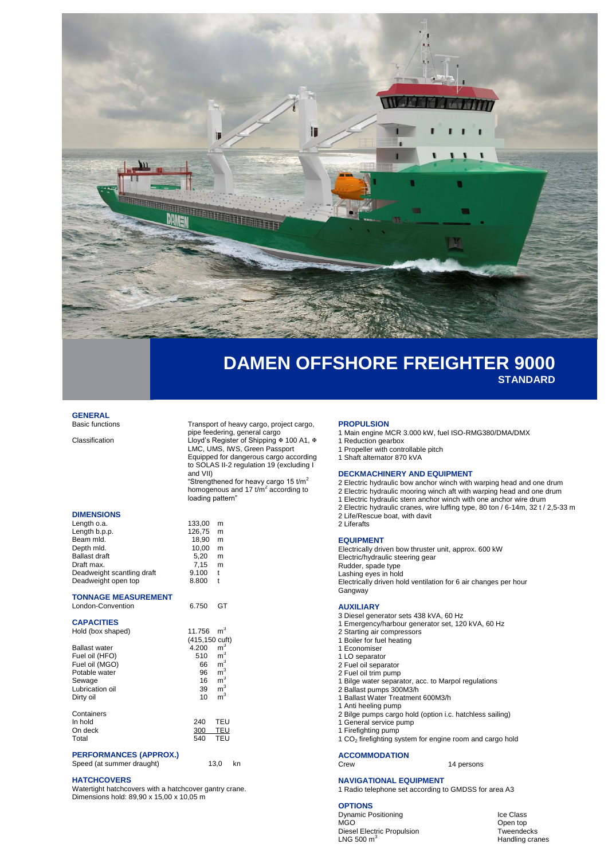

# **DAMEN OFFSHORE FREIGHTER 9000 STANDARD**

# **GENERAL**<br>Basic functions

**DIMENSIONS**

Transport of heavy cargo, project cargo, pipe feedering, general cargo Classification Classification Lloyd's Register of Shipping ∗ 100 A1, ∗ LMC, UMS, IWS, Green Passport Equipped for dangerous cargo according to SOLAS II-2 regulation 19 (excluding I and VII) "Strengthened for heavy cargo 15 t/m<sup>2</sup>

homogenous and 17  $t/m^2$  according to loading pattern"

| Length o.a.<br>Length b.p.p.<br>Beam mld.<br>Depth mld.<br><b>Ballast draft</b><br>Draft max.<br>Deadweight scantling draft<br>Deadweight open top            | 133.00<br>126,75<br>18,90<br>10,00<br>5,20<br>7,15<br>9.100<br>8.800   | m<br>m<br>m<br>m<br>m<br>m<br>t<br>t                                                                                                         |
|---------------------------------------------------------------------------------------------------------------------------------------------------------------|------------------------------------------------------------------------|----------------------------------------------------------------------------------------------------------------------------------------------|
| <b>TONNAGE MEASUREMENT</b><br>London-Convention                                                                                                               | 6.750                                                                  | GT                                                                                                                                           |
| <b>CAPACITIES</b><br>Hold (box shaped)<br><b>Ballast water</b><br>Fuel oil (HFO)<br>Fuel oil (MGO)<br>Potable water<br>Sewage<br>Lubrication oil<br>Dirty oil | 11.756<br>(415,150 cuft)<br>4.200<br>510<br>66<br>96<br>16<br>39<br>10 | $\mathsf{m}^3$<br>$\mathsf{m}^3$<br>$\mathsf{m}^3$<br>$\mathsf{m}^3$<br>$\mathsf{m}^3$<br>$\mathsf{m}^3$<br>m <sup>3</sup><br>$\mathsf{m}^3$ |
| Containers<br>In hold<br>On deck<br>Total                                                                                                                     | 240<br>300<br>540                                                      | TEU<br>TEU<br>TEU                                                                                                                            |

## **PERFORMANCES (APPROX.)**

Speed (at summer draught) 13,0 kn

### **HATCHCOVERS**

Watertight hatchcovers with a hatchcover gantry crane. Dimensions hold: 89,90 x 15,00 x 10,05 m

#### **PROPULSION**

- 1 Main engine MCR 3.000 kW, fuel ISO-RMG380/DMA/DMX
- Reduction gearbox
- 1 Propeller with controllable pitch
- 1 Shaft alternator 870 kVA

### **DECKMACHINERY AND EQUIPMENT**

- 2 Electric hydraulic bow anchor winch with warping head and one drum
- 2 Electric hydraulic mooring winch aft with warping head and one drum
- 1 Electric hydraulic stern anchor winch with one anchor wire drum 2 Electric hydraulic cranes, wire luffing type, 80 ton / 6-14m, 32 t / 2,5-33 m
- 2 Life/Rescue boat, with davit
- 2 Liferafts

#### **EQUIPMENT**

Electrically driven bow thruster unit, approx. 600 kW Electric/hydraulic steering gear Rudder, spade type Lashing eyes in hold Electrically driven hold ventilation for 6 air changes per hour **Gangway** 

#### **AUXILIARY**

- 3 Diesel generator sets 438 kVA, 60 Hz
- 1 Emergency/harbour generator set, 120 kVA, 60 Hz
- 2 Starting air compressors
- 1 Boiler for fuel heating 1 Economiser
- 
- 1 LO separator
- 2 Fuel oil separator 2 Fuel oil trim pump
- 1 Bilge water separator, acc. to Marpol regulations
- 2 Ballast pumps 300M3/h
- 1 Ballast Water Treatment 600M3/h
- 1 Anti heeling pump
- 2 Bilge pumps cargo hold (option i.c. hatchless sailing)
- 1 General service pump
- 1 Firefighting pump
- 1 CO<sup>2</sup> firefighting system for engine room and cargo hold

# **ACCOMMODATION**

14 persons

### **NAVIGATIONAL EQUIPMENT**

1 Radio telephone set according to GMDSS for area A3

### **OPTIONS**

Dynamic Positioning<br>
MGO 00en top Class Diesel Electric Propulsion LNG 500  $m^3$ 

Open top<br>Tweendecks Handling cranes